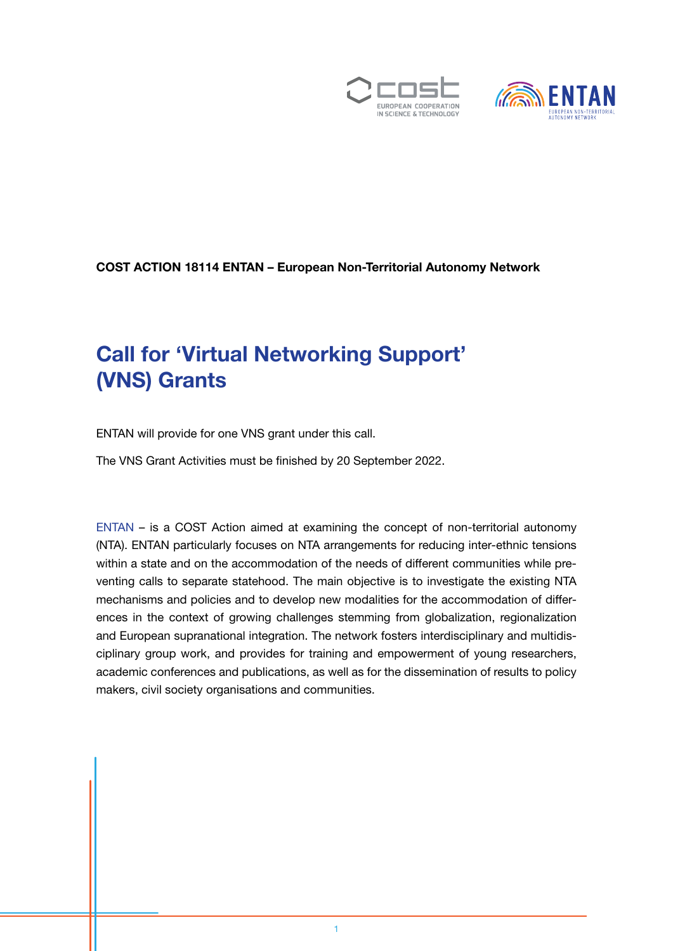



#### COST ACTION 18114 ENTAN – European Non-Territorial Autonomy Network

### Call for 'Virtual Networking Support' (VNS) Grants

ENTAN will provide for one VNS grant under this call.

The VNS Grant Activities must be finished by 20 September 2022.

[ENTAN](https://entan.org/) – is a COST Action aimed at examining the concept of non-territorial autonomy (NTA). ENTAN particularly focuses on NTA arrangements for reducing inter-ethnic tensions within a state and on the accommodation of the needs of different communities while preventing calls to separate statehood. The main objective is to investigate the existing NTA mechanisms and policies and to develop new modalities for the accommodation of differences in the context of growing challenges stemming from globalization, regionalization and European supranational integration. The network fosters interdisciplinary and multidisciplinary group work, and provides for training and empowerment of young researchers, academic conferences and publications, as well as for the dissemination of results to policy makers, civil society organisations and communities.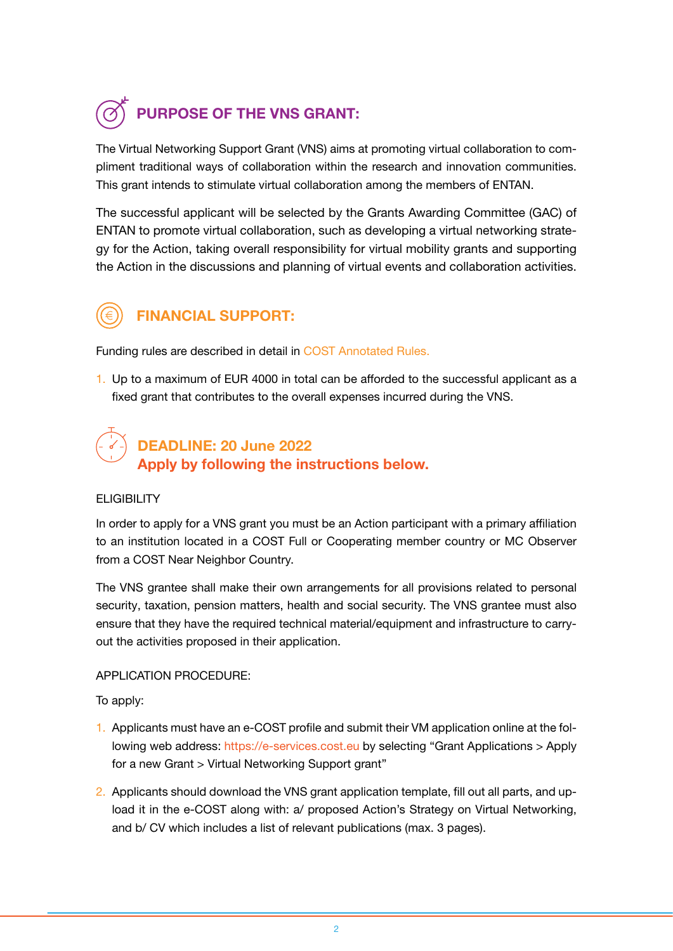# PURPOSE OF THE VNS GRANT:

The Virtual Networking Support Grant (VNS) aims at promoting virtual collaboration to compliment traditional ways of collaboration within the research and innovation communities. This grant intends to stimulate virtual collaboration among the members of ENTAN.

The successful applicant will be selected by the Grants Awarding Committee (GAC) of ENTAN to promote virtual collaboration, such as developing a virtual networking strategy for the Action, taking overall responsibility for virtual mobility grants and supporting the Action in the discussions and planning of virtual events and collaboration activities.



### FINANCIAL SUPPORT:

Funding rules are described in detail in [COST Annotated Rules](https://www.cost.eu/uploads/2022/02/COST-094-21-Annotated-Rules-for-COST-Actions-Level-C-2022-02-15.pdf).

1. Up to a maximum of EUR 4000 in total can be afforded to the successful applicant as a fixed grant that contributes to the overall expenses incurred during the VNS.

### DEADLINE: 20 June 2022 Apply by following the instructions below.

#### **ELIGIBILITY**

In order to apply for a VNS grant you must be an Action participant with a primary affiliation to an institution located in a COST Full or Cooperating member country or MC Observer from a COST Near Neighbor Country.

The VNS grantee shall make their own arrangements for all provisions related to personal security, taxation, pension matters, health and social security. The VNS grantee must also ensure that they have the required technical material/equipment and infrastructure to carryout the activities proposed in their application.

#### APPLICATION PROCEDURE:

To apply:

- 1. Applicants must have an e-COST profile and submit their VM application online at the following web address: [https://e-services.cost.eu](https://e-services.cost.eu/user/login) by selecting "Grant Applications > Apply for a new Grant > Virtual Networking Support grant"
- 2. Applicants should download the VNS grant application template, fill out all parts, and upload it in the e-COST along with: a/ proposed Action's Strategy on Virtual Networking, and b/ CV which includes a list of relevant publications (max. 3 pages).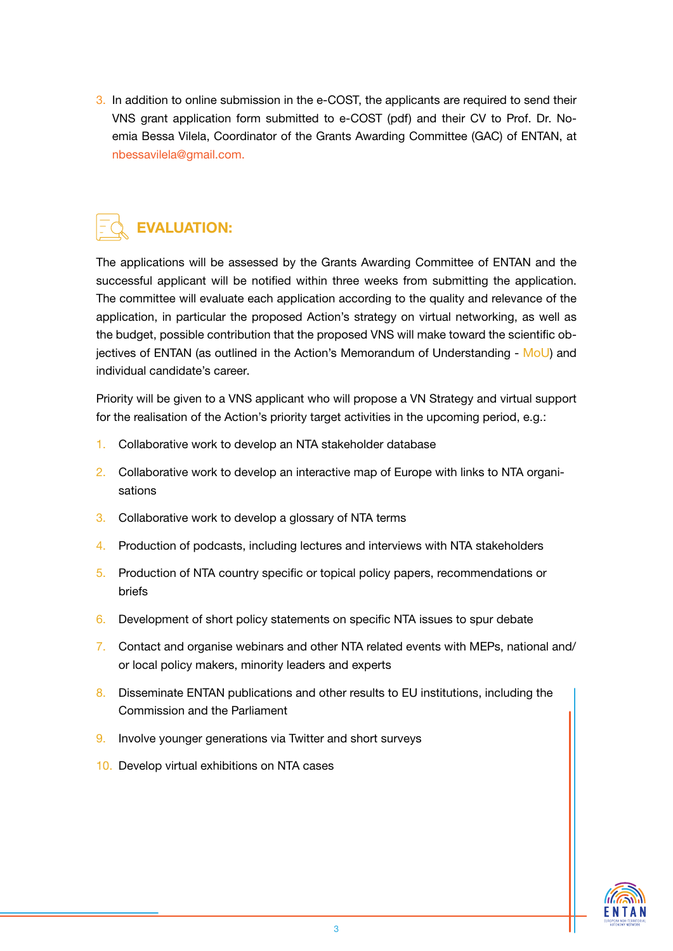3. In addition to online submission in the e-COST, the applicants are required to send their VNS grant application form submitted to e-COST (pdf) and their CV to Prof. Dr. Noemia Bessa Vilela, Coordinator of the Grants Awarding Committee (GAC) of ENTAN, at nbessavilela@gmail.com.

## EVALUATION:

The applications will be assessed by the Grants Awarding Committee of ENTAN and the successful applicant will be notified within three weeks from submitting the application. The committee will evaluate each application according to the quality and relevance of the application, in particular the proposed Action's strategy on virtual networking, as well as the budget, possible contribution that the proposed VNS will make toward the scientific objectives of ENTAN (as outlined in the Action's Memorandum of Understanding - [MoU](https://www.cost.eu/actions/CA18114/)) and individual candidate's career.

Priority will be given to a VNS applicant who will propose a VN Strategy and virtual support for the realisation of the Action's priority target activities in the upcoming period, e.g.:

- 1. Collaborative work to develop an NTA stakeholder database
- 2. Collaborative work to develop an interactive map of Europe with links to NTA organisations
- 3. Collaborative work to develop a glossary of NTA terms
- 4. Production of podcasts, including lectures and interviews with NTA stakeholders
- 5. Production of NTA country specific or topical policy papers, recommendations or briefs
- 6. Development of short policy statements on specific NTA issues to spur debate
- 7. Contact and organise webinars and other NTA related events with MEPs, national and/ or local policy makers, minority leaders and experts
- 8. Disseminate ENTAN publications and other results to EU institutions, including the Commission and the Parliament
- 9. Involve younger generations via Twitter and short surveys
- 10. Develop virtual exhibitions on NTA cases